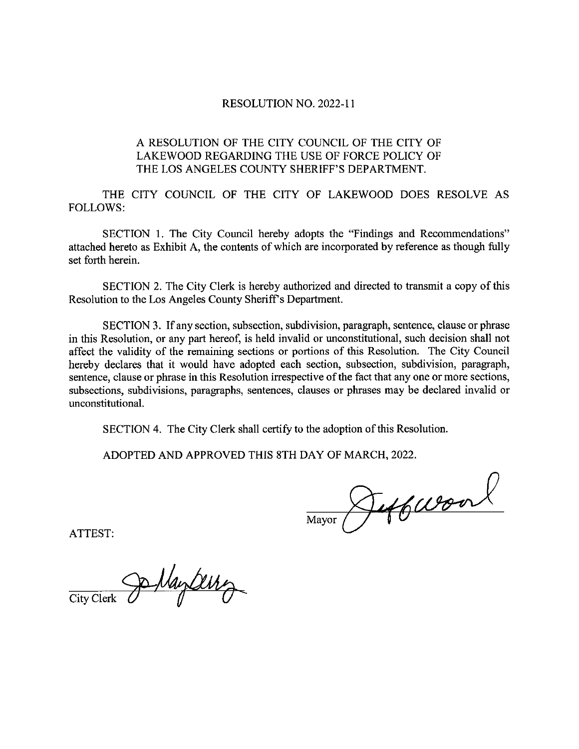#### **RESOLUTION NO. 2022-11**

### A RESOLUTION OF THE CITY COUNCIL OF THE CITY OF LAKEWOOD REGARDING THE USE OF FORCE POLICY OF THE LOS ANGELES COUNTY SHERIFF'S DEPARTMENT.

THE CITY COUNCIL OF THE CITY OF LAKEWOOD DOES RESOLVE AS **FOLLOWS:** 

SECTION 1. The City Council hereby adopts the "Findings and Recommendations" attached hereto as Exhibit A, the contents of which are incorporated by reference as though fully set forth herein.

SECTION 2. The City Clerk is hereby authorized and directed to transmit a copy of this Resolution to the Los Angeles County Sheriff's Department.

SECTION 3. If any section, subsection, subdivision, paragraph, sentence, clause or phrase in this Resolution, or any part hereof, is held invalid or unconstitutional, such decision shall not affect the validity of the remaining sections or portions of this Resolution. The City Council hereby declares that it would have adopted each section, subsection, subdivision, paragraph, sentence, clause or phrase in this Resolution irrespective of the fact that any one or more sections, subsections, subdivisions, paragraphs, sentences, clauses or phrases may be declared invalid or unconstitutional.

SECTION 4. The City Clerk shall certify to the adoption of this Resolution.

ADOPTED AND APPROVED THIS 8TH DAY OF MARCH, 2022.

Jeffwoord Mayor

ATTEST:

Jo Naytery City Clerk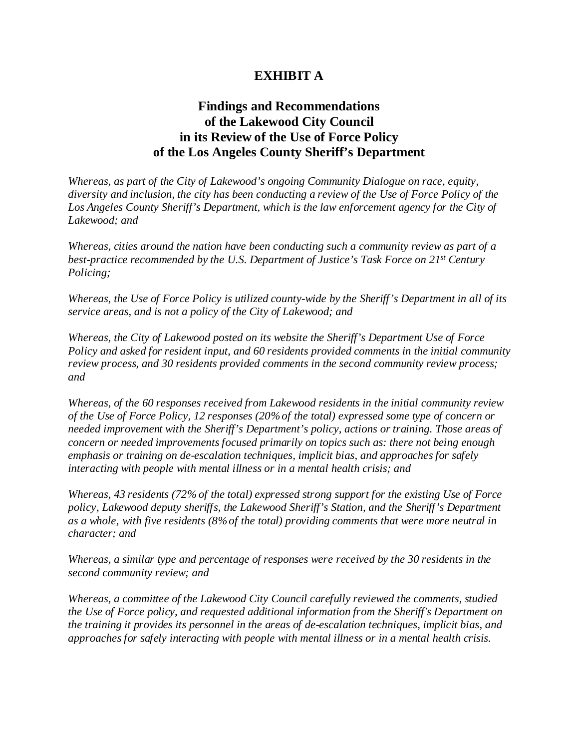## **EXHIBIT A**

# **Findings and Recommendations of the Lakewood City Council in its Review of the Use of Force Policy of the Los Angeles County Sheriff's Department**

*Whereas, as part of the City of Lakewood's ongoing Community Dialogue on race, equity, diversity and inclusion, the city has been conducting a review of the Use of Force Policy of the*  Los Angeles County Sheriff's Department, which is the law enforcement agency for the City of *Lakewood; and* 

*Whereas, cities around the nation have been conducting such a community review as part of a best-practice recommended by the U.S. Department of Justice's Task Force on 21<sup>st</sup> Century Policing;* 

*Whereas, the Use of Force Policy is utilized county-wide by the Sheriff's Department in all of its service areas, and is not a policy of the City of Lakewood; and* 

*Whereas, the City of Lakewood posted on its website the Sheriff's Department Use of Force Policy and asked for resident input, and 60 residents provided comments in the initial community review process, and 30 residents provided comments in the second community review process; and* 

*Whereas, of the 60 responses received from Lakewood residents in the initial community review of the Use of Force Policy, 12 responses (20% of the total) expressed some type of concern or needed improvement with the Sheriff's Department's policy, actions or training. Those areas of concern or needed improvements focused primarily on topics such as: there not being enough emphasis or training on de-escalation techniques, implicit bias, and approaches for safely interacting with people with mental illness or in a mental health crisis; and*

*Whereas, 43 residents (72% of the total) expressed strong support for the existing Use of Force policy, Lakewood deputy sheriffs, the Lakewood Sheriff's Station, and the Sheriff's Department as a whole, with five residents (8% of the total) providing comments that were more neutral in character; and* 

*Whereas, a similar type and percentage of responses were received by the 30 residents in the second community review; and* 

*Whereas, a committee of the Lakewood City Council carefully reviewed the comments, studied the Use of Force policy, and requested additional information from the Sheriff's Department on the training it provides its personnel in the areas of de-escalation techniques, implicit bias, and approaches for safely interacting with people with mental illness or in a mental health crisis.*